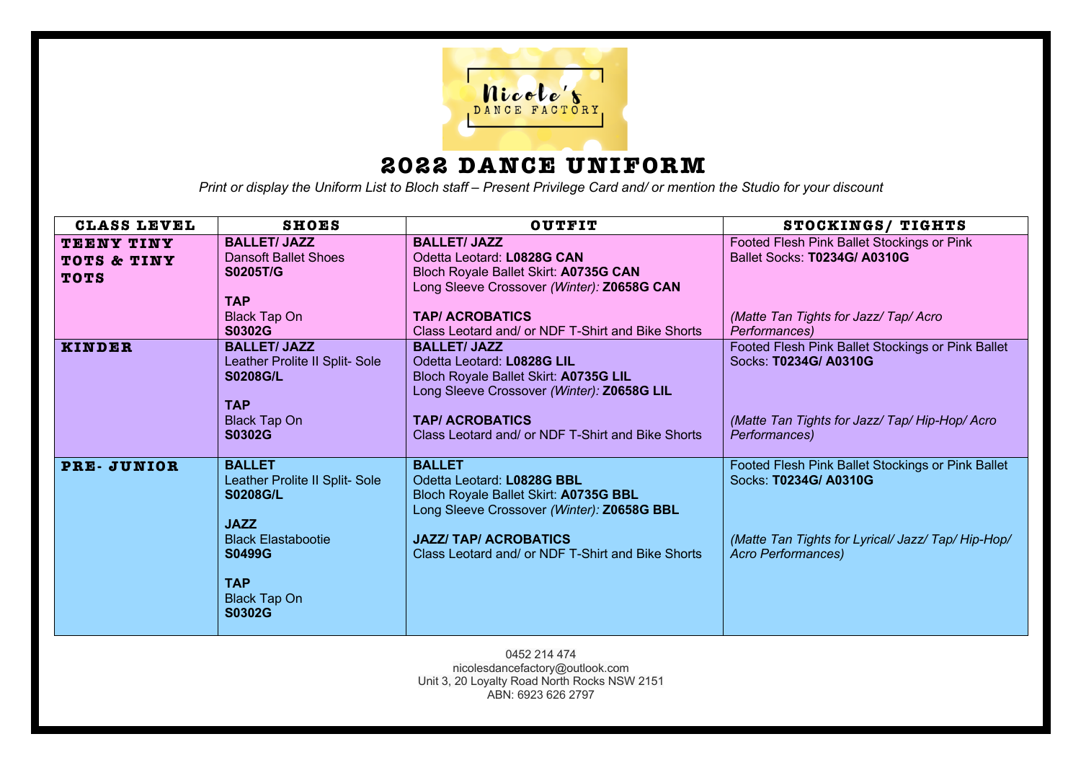

## **2022 DANCE UNIFORM**

*Print or display the Uniform List to Bloch staff – Present Privilege Card and/ or mention the Studio for your discount*

| <b>CLASS LEVEL</b>                       | <b>SHOES</b>                                                                                                                                                                          | <b>OUTFIT</b>                                                                                                                                                                                                           | STOCKINGS/ TIGHTS                                                                                                                                             |
|------------------------------------------|---------------------------------------------------------------------------------------------------------------------------------------------------------------------------------------|-------------------------------------------------------------------------------------------------------------------------------------------------------------------------------------------------------------------------|---------------------------------------------------------------------------------------------------------------------------------------------------------------|
| TEENY TINY<br>TOTS & TINY<br><b>TOTS</b> | <b>BALLET/ JAZZ</b><br>Dansoft Ballet Shoes<br><b>S0205T/G</b><br><b>TAP</b><br><b>Black Tap On</b><br><b>S0302G</b>                                                                  | <b>BALLET/ JAZZ</b><br>Odetta Leotard: L0828G CAN<br>Bloch Royale Ballet Skirt: A0735G CAN<br>Long Sleeve Crossover (Winter): Z0658G CAN<br><b>TAP/ ACROBATICS</b><br>Class Leotard and/ or NDF T-Shirt and Bike Shorts | Footed Flesh Pink Ballet Stockings or Pink<br>Ballet Socks: T0234G/ A0310G<br>(Matte Tan Tights for Jazz/ Tap/ Acro<br>Performances)                          |
| <b>KINDER</b>                            | <b>BALLET/JAZZ</b><br>Leather Prolite II Split- Sole<br><b>S0208G/L</b><br><b>TAP</b><br><b>Black Tap On</b><br><b>S0302G</b>                                                         | <b>BALLET/ JAZZ</b><br>Odetta Leotard: L0828G LIL<br>Bloch Royale Ballet Skirt: A0735G LIL<br>Long Sleeve Crossover (Winter): Z0658G LIL<br><b>TAP/ ACROBATICS</b><br>Class Leotard and/ or NDF T-Shirt and Bike Shorts | Footed Flesh Pink Ballet Stockings or Pink Ballet<br>Socks: T0234G/ A0310G<br>(Matte Tan Tights for Jazz/ Tap/ Hip-Hop/ Acro<br>Performances)                 |
| <b>PRE-JUNIOR</b>                        | <b>BALLET</b><br>Leather Prolite II Split- Sole<br><b>S0208G/L</b><br><b>JAZZ</b><br><b>Black Elastabootie</b><br><b>S0499G</b><br><b>TAP</b><br><b>Black Tap On</b><br><b>S0302G</b> | <b>BALLET</b><br>Odetta Leotard: L0828G BBL<br>Bloch Royale Ballet Skirt: A0735G BBL<br>Long Sleeve Crossover (Winter): Z0658G BBL<br><b>JAZZ/ TAP/ ACROBATICS</b><br>Class Leotard and/ or NDF T-Shirt and Bike Shorts | Footed Flesh Pink Ballet Stockings or Pink Ballet<br>Socks: T0234G/ A0310G<br>(Matte Tan Tights for Lyrical/ Jazz/ Tap/ Hip-Hop/<br><b>Acro Performances)</b> |

0452 214 474 nicolesdancefactory@outlook.com Unit 3, 20 Loyalty Road North Rocks NSW 2151 ABN: 6923 626 2797